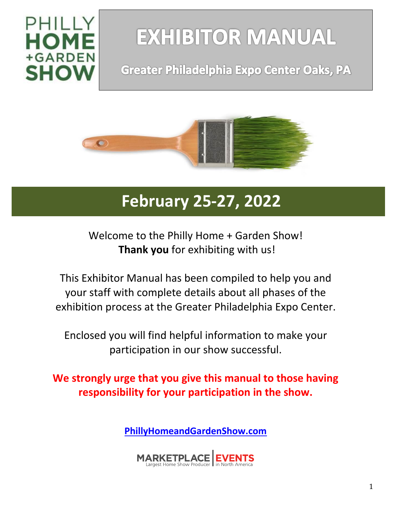

# **EXHIBITOR MANUAL**

# **Greater Philadelphia Expo Center Oaks, PA**



# **February 25-27, 2022**

Welcome to the Philly Home + Garden Show! **Thank you** for exhibiting with us!

This Exhibitor Manual has been compiled to help you and your staff with complete details about all phases of the exhibition process at the Greater Philadelphia Expo Center.

Enclosed you will find helpful information to make your participation in our show successful.

**We strongly urge that you give this manual to those having responsibility for your participation in the show.**

**[PhillyHomeandGardenShow.com](https://phillyhomeandgarden.com/)**

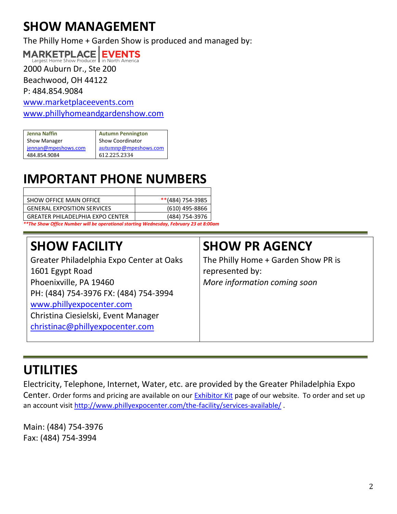# **SHOW MANAGEMENT**

The Philly Home + Garden Show is produced and managed by:

#### **MARKETPLACE EVENTS** Largest Home Show Produce

2000 Auburn Dr., Ste 200

Beachwood, OH 44122

P: 484.854.9084

[www.marketplaceevents.com](http://www.marketplaceevents.com/)

www.phillyhomeandgardenshow.com

| <b>Jenna Naffin</b> | <b>Autumn Pennington</b> |
|---------------------|--------------------------|
| Show Manager        | <b>Show Coordinator</b>  |
| jennan@mpeshows.com | autumnp@mpeshows.com     |
| 484.854.9084        | 612.225.2334             |

# **IMPORTANT PHONE NUMBERS**

| SHOW OFFICE MAIN OFFICE                                                              | $*$ (484) 754-3985 |  |
|--------------------------------------------------------------------------------------|--------------------|--|
| <b>GENERAL EXPOSITION SERVICES</b>                                                   | (610) 495-8866     |  |
| <b>GREATER PHILADELPHIA EXPO CENTER</b>                                              | (484) 754-3976     |  |
| **The Show Office Number will be operational starting Wednesday, February 23 at 8:00 |                    |  |

*\*\*The Show Office Number will be operational starting Wednesday, February 23 at 8:00am*

# **SHOW FACILITY**

Greater Philadelphia Expo Center at Oaks 1601 Egypt Road Phoenixville, PA 19460 PH: (484) 754-3976 FX: (484) 754-3994 [www.phillyexpocenter.com](http://www.phillyexpocenter.com/) Christina Ciesielski, Event Manager [christinac@phillyexpocenter.com](mailto:christinac@phillyexpocenter.com)

## **SHOW PR AGENCY**

The Philly Home + Garden Show PR is represented by: *More information coming soon*

# **UTILITIES**

Electricity, Telephone, Internet, Water, etc. are provided by the Greater Philadelphia Expo Center. Order forms and pricing are available on our **Exhibitor Kit page of our website.** To order and set up an account visit <http://www.phillyexpocenter.com/the-facility/services-available/>.

Main: (484) 754-3976 Fax: (484) 754-3994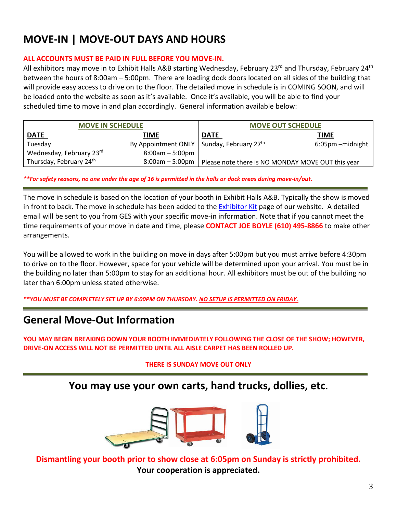### **MOVE-IN | MOVE-OUT DAYS AND HOURS**

#### **ALL ACCOUNTS MUST BE PAID IN FULL BEFORE YOU MOVE-IN.**

All exhibitors may move in to Exhibit Halls A&B starting Wednesday, February 23<sup>rd</sup> and Thursday, February 24<sup>th</sup> between the hours of 8:00am – 5:00pm. There are loading dock doors located on all sides of the building that will provide easy access to drive on to the floor. The detailed move in schedule is in COMING SOON, and will be loaded onto the website as soon as it's available. Once it's available, you will be able to find your scheduled time to move in and plan accordingly. General information available below:

| <b>MOVE IN SCHEDULE</b>             |                                               | <b>MOVE OUT SCHEDULE</b>                          |                   |
|-------------------------------------|-----------------------------------------------|---------------------------------------------------|-------------------|
| <b>DATE</b>                         | <b>TIME</b>                                   | <b>DATE</b>                                       | TIME              |
| Tuesday                             | By Appointment ONLY   Sunday, February $27th$ |                                                   | 6:05pm - midnight |
| Wednesday, February 23rd            | $8:00am - 5:00pm$                             |                                                   |                   |
| Thursday, February 24 <sup>th</sup> | 8:00am - 5:00pm                               | Please note there is NO MONDAY MOVE OUT this year |                   |

*\*\*For safety reasons, no one under the age of 16 is permitted in the halls or dock areas during move-in/out.*

The move in schedule is based on the location of your booth in Exhibit Halls A&B. Typically the show is moved in front to back. The move in schedule has been added to the **[Exhibitor Kit](https://phillyhomeandgarden.com/Exhibitor-Kit)** page of our website. A detailed email will be sent to you from GES with your specific move-in information. Note that if you cannot meet the time requirements of your move in date and time, please **CONTACT JOE BOYLE (610) 495-8866** to make other arrangements.

You will be allowed to work in the building on move in days after 5:00pm but you must arrive before 4:30pm to drive on to the floor. However, space for your vehicle will be determined upon your arrival. You must be in the building no later than 5:00pm to stay for an additional hour. All exhibitors must be out of the building no later than 6:00pm unless stated otherwise.

*\*\*YOU MUST BE COMPLETELY SET UP BY 6:00PM ON THURSDAY. NO SETUP IS PERMITTED ON FRIDAY.*

#### **General Move-Out Information**

**YOU MAY BEGIN BREAKING DOWN YOUR BOOTH IMMEDIATELY FOLLOWING THE CLOSE OF THE SHOW; HOWEVER, DRIVE-ON ACCESS WILL NOT BE PERMITTED UNTIL ALL AISLE CARPET HAS BEEN ROLLED UP.**

#### **THERE IS SUNDAY MOVE OUT ONLY**

#### **You may use your own carts, hand trucks, dollies, etc.**



**Dismantling your booth prior to show close at 6:05pm on Sunday is strictly prohibited. Your cooperation is appreciated.**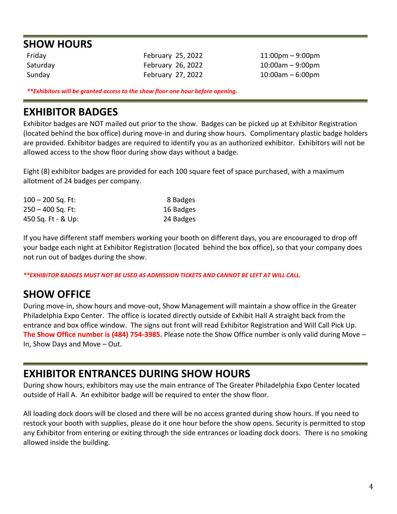#### **SHOW HOURS**

Friday February 25, 2022 11:00pm – 9:00pm Saturday **February 26, 2022** 10:00am – 9:00pm

Sunday February 27, 2022 10:00am – 6:00pm

*\*\*Exhibitors will be granted access to the show floor one hour before opening.*

#### **EXHIBITOR BADGES**

Exhibitor badges are NOT mailed out prior to the show. Badges can be picked up at Exhibitor Registration (located behind the box office) during move-in and during show hours. Complimentary plastic badge holders are provided. Exhibitor badges are required to identify you as an authorized exhibitor. Exhibitors will not be allowed access to the show floor during show days without a badge.

Eight (8) exhibitor badges are provided for each 100 square feet of space purchased, with a maximum allotment of 24 badges per company.

| $100 - 200$ Sq. Ft:  | 8 Badges  |
|----------------------|-----------|
| $250 - 400$ Sq. Ft:  | 16 Badges |
| 450 Sq. Ft - $&$ Up: | 24 Badges |

If you have different staff members working your booth on different days, you are encouraged to drop off your badge each night at Exhibitor Registration (located behind the box office), so that your company does not run out of badges during the show.

*\*\*EXHIBITOR BADGES MUST NOT BE USED AS ADMISSION TICKETS AND CANNOT BE LEFT AT WILL CALL.*

#### **SHOW OFFICE**

During move-in, show hours and move-out, Show Management will maintain a show office in the Greater Philadelphia Expo Center. The office is located directly outside of Exhibit Hall A straight back from the entrance and box office window. The signs out front will read Exhibitor Registration and Will Call Pick Up. **The Show Office number is (484) 754-3985.** Please note the Show Office number is only valid during Move – In, Show Days and Move – Out.

#### **EXHIBITOR ENTRANCES DURING SHOW HOURS**

During show hours, exhibitors may use the main entrance of The Greater Philadelphia Expo Center located outside of Hall A. An exhibitor badge will be required to enter the show floor.

All loading dock doors will be closed and there will be no access granted during show hours. If you need to restock your booth with supplies, please do it one hour before the show opens. Security is permitted to stop any Exhibitor from entering or exiting through the side entrances or loading dock doors. There is no smoking allowed inside the building.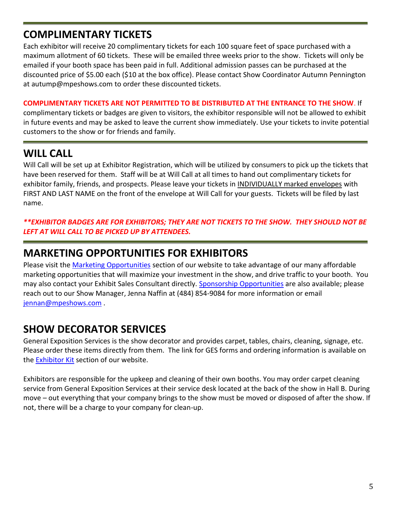### **COMPLIMENTARY TICKETS**

Each exhibitor will receive 20 complimentary tickets for each 100 square feet of space purchased with a maximum allotment of 60 tickets. These will be emailed three weeks prior to the show. Tickets will only be emailed if your booth space has been paid in full. Additional admission passes can be purchased at the discounted price of \$5.00 each (\$10 at the box office). Please contact Show Coordinator Autumn Pennington at autump@mpeshows.com to order these discounted tickets.

#### **COMPLIMENTARY TICKETS ARE NOT PERMITTED TO BE DISTRIBUTED AT THE ENTRANCE TO THE SHOW**. If

complimentary tickets or badges are given to visitors, the exhibitor responsible will not be allowed to exhibit in future events and may be asked to leave the current show immediately. Use your tickets to invite potential customers to the show or for friends and family.

### **WILL CALL**

Will Call will be set up at Exhibitor Registration, which will be utilized by consumers to pick up the tickets that have been reserved for them. Staff will be at Will Call at all times to hand out complimentary tickets for exhibitor family, friends, and prospects. Please leave your tickets in INDIVIDUALLY marked envelopes with FIRST AND LAST NAME on the front of the envelope at Will Call for your guests. Tickets will be filed by last name.

#### *\*\*EXHIBITOR BADGES ARE FOR EXHIBITORS; THEY ARE NOT TICKETS TO THE SHOW. THEY SHOULD NOT BE LEFT AT WILL CALL TO BE PICKED UP BY ATTENDEES.*

### **MARKETING OPPORTUNITIES FOR EXHIBITORS**

Please visit the [Marketing Opportunities](http://www.phillyhomeandgardenshow.com/Marketing-Opportunities) section of our website to take advantage of our many affordable marketing opportunities that will maximize your investment in the show, and drive traffic to your booth. You may also contact your Exhibit Sales Consultant directly. [Sponsorship Opportunities](http://www.phillyhomeandgardenshow.com/looking-to-exhibit/sponsorship-opportunities) are also available; please reach out to our Show Manager, Jenna Naffin at (484) 854-9084 for more information or email [jennan@mpeshows.com](mailto:alysonc@mpeshows.com) .

#### **SHOW DECORATOR SERVICES**

General Exposition Services is the show decorator and provides carpet, tables, chairs, cleaning, signage, etc. Please order these items directly from them. The link for GES forms and ordering information is available on the [Exhibitor Kit](http://www.phillyhomeandgarden.com/Exhibitor-Kit) section of our website.

Exhibitors are responsible for the upkeep and cleaning of their own booths. You may order carpet cleaning service from General Exposition Services at their service desk located at the back of the show in Hall B. During move – out everything that your company brings to the show must be moved or disposed of after the show. If not, there will be a charge to your company for clean-up.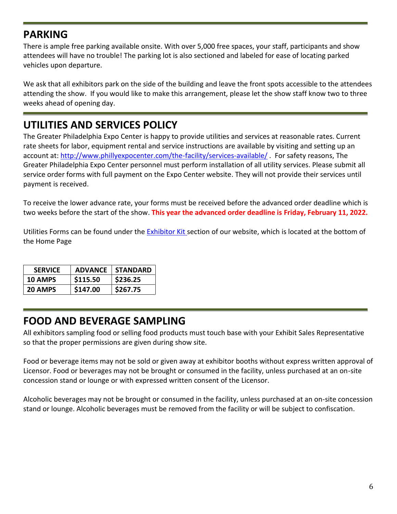### **PARKING**

There is ample free parking available onsite. With over 5,000 free spaces, your staff, participants and show attendees will have no trouble! The parking lot is also sectioned and labeled for ease of locating parked vehicles upon departure.

We ask that all exhibitors park on the side of the building and leave the front spots accessible to the attendees attending the show. If you would like to make this arrangement, please let the show staff know two to three weeks ahead of opening day.

### **UTILITIES AND SERVICES POLICY**

The Greater Philadelphia Expo Center is happy to provide utilities and services at reasonable rates. Current rate sheets for labor, equipment rental and service instructions are available by visiting and setting up an account at:<http://www.phillyexpocenter.com/the-facility/services-available/> . For safety reasons, The Greater Philadelphia Expo Center personnel must perform installation of all utility services. Please submit all service order forms with full payment on the Expo Center website. They will not provide their services until payment is received.

To receive the lower advance rate, your forms must be received before the advanced order deadline which is two weeks before the start of the show. **This year the advanced order deadline is Friday, February 11, 2022.**

Utilities Forms can be found under the **Exhibitor Kit** section of our website, which is located at the bottom of the Home Page

| <b>SERVICE</b> | <b>ADVANCE</b> | <b>STANDARD</b> |
|----------------|----------------|-----------------|
| 10 AMPS        | \$115.50       | \$236.25        |
| 20 AMPS        | \$147.00       | \$267.75        |

#### **FOOD AND BEVERAGE SAMPLING**

All exhibitors sampling food or selling food products must touch base with your Exhibit Sales Representative so that the proper permissions are given during show site.

Food or beverage items may not be sold or given away at exhibitor booths without express written approval of Licensor. Food or beverages may not be brought or consumed in the facility, unless purchased at an on-site concession stand or lounge or with expressed written consent of the Licensor.

Alcoholic beverages may not be brought or consumed in the facility, unless purchased at an on-site concession stand or lounge. Alcoholic beverages must be removed from the facility or will be subject to confiscation.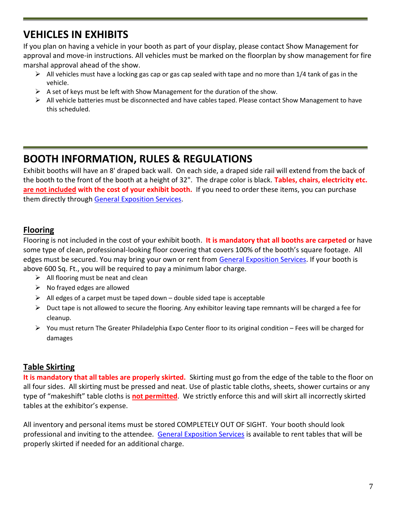### **VEHICLES IN EXHIBITS**

If you plan on having a vehicle in your booth as part of your display, please contact Show Management for approval and move-in instructions. All vehicles must be marked on the floorplan by show management for fire marshal approval ahead of the show.

- $\triangleright$  All vehicles must have a locking gas cap or gas cap sealed with tape and no more than 1/4 tank of gas in the vehicle.
- $\triangleright$  A set of keys must be left with Show Management for the duration of the show.
- $\triangleright$  All vehicle batteries must be disconnected and have cables taped. Please contact Show Management to have this scheduled.

#### **BOOTH INFORMATION, RULES & REGULATIONS**

Exhibit booths will have an 8' draped back wall. On each side, a draped side rail will extend from the back of the booth to the front of the booth at a height of 32". The drape color is black. **Tables, chairs, electricity etc. are not included with the cost of your exhibit booth.** If you need to order these items, you can purchase them directly through [General Exposition Services.](https://www.generalexposition.com/online-servicekit.php)

#### **Flooring**

Flooring is not included in the cost of your exhibit booth. **It is mandatory that all booths are carpeted** or have some type of clean, professional-looking floor covering that covers 100% of the booth's square footage. All edges must be secured. You may bring your own or rent from [General Exposition Services.](https://www.generalexposition.com/online-servicekit.php) If your booth is above 600 Sq. Ft., you will be required to pay a minimum labor charge.

- $\triangleright$  All flooring must be neat and clean
- $\triangleright$  No frayed edges are allowed
- $\triangleright$  All edges of a carpet must be taped down double sided tape is acceptable
- $\triangleright$  Duct tape is not allowed to secure the flooring. Any exhibitor leaving tape remnants will be charged a fee for cleanup.
- ➢ You must return The Greater Philadelphia Expo Center floor to its original condition Fees will be charged for damages

#### **Table Skirting**

**It is mandatory that all tables are properly skirted.** Skirting must go from the edge of the table to the floor on all four sides. All skirting must be pressed and neat. Use of plastic table cloths, sheets, shower curtains or any type of "makeshift" table cloths is **not permitted**. We strictly enforce this and will skirt all incorrectly skirted tables at the exhibitor's expense.

All inventory and personal items must be stored COMPLETELY OUT OF SIGHT. Your booth should look professional and inviting to the attendee. [General Exposition Services](https://www.generalexposition.com/online-servicekit.php) is available to rent tables that will be properly skirted if needed for an additional charge.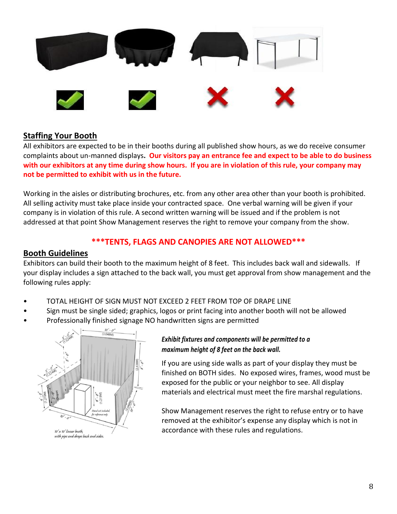

#### **Staffing Your Booth**

All exhibitors are expected to be in their booths during all published show hours, as we do receive consumer complaints about un-manned displays**. Our visitors pay an entrance fee and expect to be able to do business with our exhibitors at any time during show hours. If you are in violation of this rule, your company may not be permitted to exhibit with us in the future.**

Working in the aisles or distributing brochures, etc. from any other area other than your booth is prohibited. All selling activity must take place inside your contracted space. One verbal warning will be given if your company is in violation of this rule. A second written warning will be issued and if the problem is not addressed at that point Show Management reserves the right to remove your company from the show.

#### **\*\*\*TENTS, FLAGS AND CANOPIES ARE NOT ALLOWED\*\*\***

#### **Booth Guidelines**

Exhibitors can build their booth to the maximum height of 8 feet. This includes back wall and sidewalls. If your display includes a sign attached to the back wall, you must get approval from show management and the following rules apply:

- TOTAL HEIGHT OF SIGN MUST NOT EXCEED 2 FEET FROM TOP OF DRAPE LINE
- Sign must be single sided; graphics, logos or print facing into another booth will not be allowed
- Professionally finished signage NO handwritten signs are permitted



#### *Exhibit fixtures and components will be permitted to a maximum height of 8 feet on the back wall.*

If you are using side walls as part of your display they must be finished on BOTH sides. No exposed wires, frames, wood must be exposed for the public or your neighbor to see. All display materials and electrical must meet the fire marshal regulations.

Show Management reserves the right to refuse entry or to have removed at the exhibitor's expense any display which is not in accordance with these rules and regulations.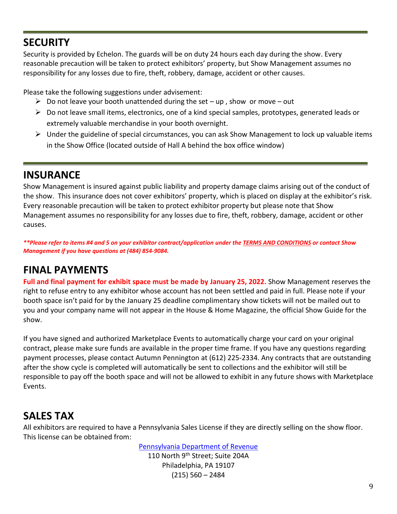#### **SECURITY**

Security is provided by Echelon. The guards will be on duty 24 hours each day during the show. Every reasonable precaution will be taken to protect exhibitors' property, but Show Management assumes no responsibility for any losses due to fire, theft, robbery, damage, accident or other causes.

Please take the following suggestions under advisement:

- $\triangleright$  Do not leave your booth unattended during the set up, show or move out
- $\triangleright$  Do not leave small items, electronics, one of a kind special samples, prototypes, generated leads or extremely valuable merchandise in your booth overnight.
- $\triangleright$  Under the guideline of special circumstances, you can ask Show Management to lock up valuable items in the Show Office (located outside of Hall A behind the box office window)

### **INSURANCE**

Show Management is insured against public liability and property damage claims arising out of the conduct of the show. This insurance does not cover exhibitors' property, which is placed on display at the exhibitor's risk. Every reasonable precaution will be taken to protect exhibitor property but please note that Show Management assumes no responsibility for any losses due to fire, theft, robbery, damage, accident or other causes.

*\*\*Please refer to items #4 and 5 on your exhibitor contract/application under th[e TERMS AND CONDITIONS](file:///C:/Users/nicolem/AppData/Roaming/Microsoft/2018%20PHGS/2018%20PHGS%20Contracts%20and%20Floor%20Plans/Terms%20and%20Conditions%20PHGS%20Contract.pdf) or contact Show Management if you have questions at (484) 854-9084.*

### **FINAL PAYMENTS**

**Full and final payment for exhibit space must be made by January 25, 2022.** Show Management reserves the right to refuse entry to any exhibitor whose account has not been settled and paid in full. Please note if your booth space isn't paid for by the January 25 deadline complimentary show tickets will not be mailed out to you and your company name will not appear in the House & Home Magazine, the official Show Guide for the show.

If you have signed and authorized Marketplace Events to automatically charge your card on your original contract, please make sure funds are available in the proper time frame. If you have any questions regarding payment processes, please contact Autumn Pennington at (612) 225-2334. Any contracts that are outstanding after the show cycle is completed will automatically be sent to collections and the exhibitor will still be responsible to pay off the booth space and will not be allowed to exhibit in any future shows with Marketplace Events.

#### **SALES TAX**

All exhibitors are required to have a Pennsylvania Sales License if they are directly selling on the show floor. This license can be obtained from:

> [Pennsylvania Department of Revenue](http://www.revenue.pa.gov/Pages/default.aspx#.WNqxC2e1tEZ) 110 North 9<sup>th</sup> Street; Suite 204A Philadelphia, PA 19107 (215) 560 – 2484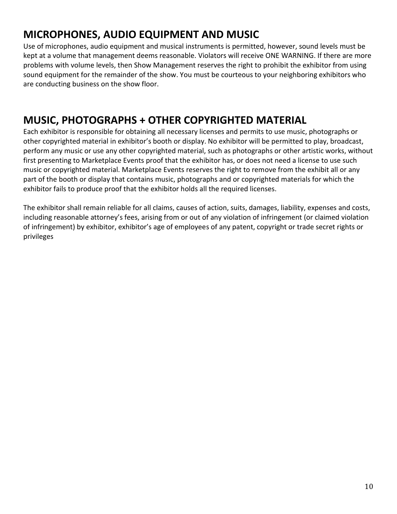### **MICROPHONES, AUDIO EQUIPMENT AND MUSIC**

Use of microphones, audio equipment and musical instruments is permitted, however, sound levels must be kept at a volume that management deems reasonable. Violators will receive ONE WARNING. If there are more problems with volume levels, then Show Management reserves the right to prohibit the exhibitor from using sound equipment for the remainder of the show. You must be courteous to your neighboring exhibitors who are conducting business on the show floor.

### **MUSIC, PHOTOGRAPHS + OTHER COPYRIGHTED MATERIAL**

Each exhibitor is responsible for obtaining all necessary licenses and permits to use music, photographs or other copyrighted material in exhibitor's booth or display. No exhibitor will be permitted to play, broadcast, perform any music or use any other copyrighted material, such as photographs or other artistic works, without first presenting to Marketplace Events proof that the exhibitor has, or does not need a license to use such music or copyrighted material. Marketplace Events reserves the right to remove from the exhibit all or any part of the booth or display that contains music, photographs and or copyrighted materials for which the exhibitor fails to produce proof that the exhibitor holds all the required licenses.

The exhibitor shall remain reliable for all claims, causes of action, suits, damages, liability, expenses and costs, including reasonable attorney's fees, arising from or out of any violation of infringement (or claimed violation of infringement) by exhibitor, exhibitor's age of employees of any patent, copyright or trade secret rights or privileges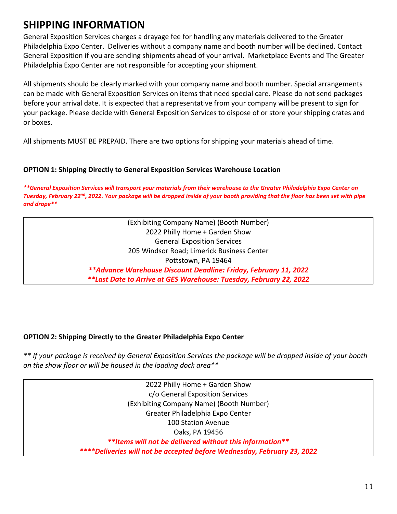### **SHIPPING INFORMATION**

General Exposition Services charges a drayage fee for handling any materials delivered to the Greater Philadelphia Expo Center. Deliveries without a company name and booth number will be declined. Contact General Exposition if you are sending shipments ahead of your arrival. Marketplace Events and The Greater Philadelphia Expo Center are not responsible for accepting your shipment.

All shipments should be clearly marked with your company name and booth number. Special arrangements can be made with General Exposition Services on items that need special care. Please do not send packages before your arrival date. It is expected that a representative from your company will be present to sign for your package. Please decide with General Exposition Services to dispose of or store your shipping crates and or boxes.

All shipments MUST BE PREPAID. There are two options for shipping your materials ahead of time.

#### **OPTION 1: Shipping Directly to General Exposition Services Warehouse Location**

*\*\*General Exposition Services will transport your materials from their warehouse to the Greater Philadelphia Expo Center on Tuesday, February 22nd, 2022. Your package will be dropped inside of your booth providing that the floor has been set with pipe and drape\*\**

> (Exhibiting Company Name) (Booth Number) 2022 Philly Home + Garden Show General Exposition Services 205 Windsor Road; Limerick Business Center Pottstown, PA 19464 *\*\*Advance Warehouse Discount Deadline: Friday, February 11, 2022 \*\*Last Date to Arrive at GES Warehouse: Tuesday, February 22, 2022*

#### **OPTION 2: Shipping Directly to the Greater Philadelphia Expo Center**

*\*\* If your package is received by General Exposition Services the package will be dropped inside of your booth on the show floor or will be housed in the loading dock area\*\**

> 2022 Philly Home + Garden Show c/o General Exposition Services (Exhibiting Company Name) (Booth Number) Greater Philadelphia Expo Center 100 Station Avenue Oaks, PA 19456 *\*\*Items will not be delivered without this information\*\* \*\*\*\*Deliveries will not be accepted before Wednesday, February 23, 2022*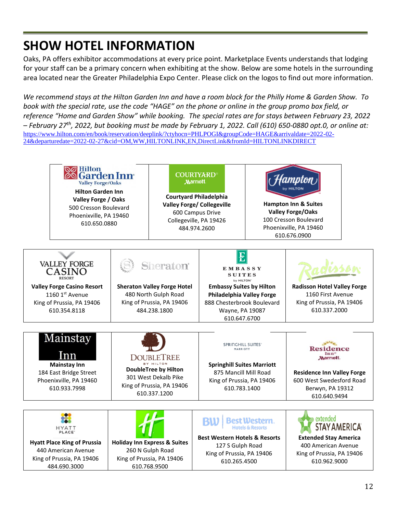# **SHOW HOTEL INFORMATION**

Oaks, PA offers exhibitor accommodations at every price point. Marketplace Events understands that lodging for your staff can be a primary concern when exhibiting at the show. Below are some hotels in the surrounding area located near the Greater Philadelphia Expo Center. Please click on the logos to find out more information.

*We recommend stays at the Hilton Garden Inn and have a room block for the Philly Home & Garden Show. To book with the special rate, use the code "HAGE" on the phone or online in the group promo box field, or reference "Home and Garden Show" while booking. The special rates are for stays between February 23, 2022 – February 27th, 2022, but booking must be made by February 1, 2022. Call (610) 650-0880 opt.0, or online at:*  [https://www.hilton.com/en/book/reservation/deeplink/?ctyhocn=PHLPOGI&groupCode=HAGE&arrivaldate=2022-02-](https://can01.safelinks.protection.outlook.com/?url=https%3A%2F%2Fwww.hilton.com%2Fen%2Fbook%2Freservation%2Fdeeplink%2F%3Fctyhocn%3DPHLPOGI%26groupCode%3DHAGE%26arrivaldate%3D2022-02-24%26departuredate%3D2022-02-27%26cid%3DOM%2CWW%2CHILTONLINK%2CEN%2CDirectLink%26fromId%3DHILTONLINKDIRECT&data=04%7C01%7CJennaN%40mpeshows.com%7C07a1e0de358f442acfb708d9371f1db7%7Cf3342ad82a6644d9ba051598dfce0752%7C0%7C0%7C637601429971226768%7CUnknown%7CTWFpbGZsb3d8eyJWIjoiMC4wLjAwMDAiLCJQIjoiV2luMzIiLCJBTiI6Ik1haWwiLCJXVCI6Mn0%3D%7C1000&sdata=rpAENP8vG8DjGPjkV3F5lcI6iUHOq9OXUsnoz0mMpmk%3D&reserved=0) [24&departuredate=2022-02-27&cid=OM,WW,HILTONLINK,EN,DirectLink&fromId=HILTONLINKDIRECT](https://can01.safelinks.protection.outlook.com/?url=https%3A%2F%2Fwww.hilton.com%2Fen%2Fbook%2Freservation%2Fdeeplink%2F%3Fctyhocn%3DPHLPOGI%26groupCode%3DHAGE%26arrivaldate%3D2022-02-24%26departuredate%3D2022-02-27%26cid%3DOM%2CWW%2CHILTONLINK%2CEN%2CDirectLink%26fromId%3DHILTONLINKDIRECT&data=04%7C01%7CJennaN%40mpeshows.com%7C07a1e0de358f442acfb708d9371f1db7%7Cf3342ad82a6644d9ba051598dfce0752%7C0%7C0%7C637601429971226768%7CUnknown%7CTWFpbGZsb3d8eyJWIjoiMC4wLjAwMDAiLCJQIjoiV2luMzIiLCJBTiI6Ik1haWwiLCJXVCI6Mn0%3D%7C1000&sdata=rpAENP8vG8DjGPjkV3F5lcI6iUHOq9OXUsnoz0mMpmk%3D&reserved=0)

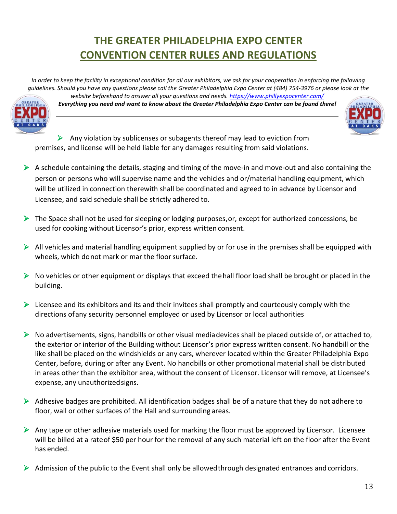### **THE GREATER PHILADELPHIA EXPO CENTER CONVENTION CENTER RULES AND REGULATIONS**

*In order to keep the facility in exceptional condition for all our exhibitors, we ask for your cooperation in enforcing the following guidelines. Should you have any questions please call the Greater Philadelphia Expo Center at (484) 754-3976 or please look at the website beforehand to answer all your questions and needs.<https://www.phillyexpocenter.com/>*



*Everything you need and want to know about the Greater Philadelphia Expo Center can be found there!*



 $\triangleright$  Any violation by sublicenses or subagents thereof may lead to eviction from premises, and license will be held liable for any damages resulting from said violations.

- $\triangleright$  A schedule containing the details, staging and timing of the move-in and move-out and also containing the person or persons who will supervise name and the vehicles and or/material handling equipment, which will be utilized in connection therewith shall be coordinated and agreed to in advance by Licensor and Licensee, and said schedule shall be strictly adhered to.
- $\triangleright$  The Space shall not be used for sleeping or lodging purposes, or, except for authorized concessions, be used for cooking without Licensor's prior, express written consent.
- $\triangleright$  All vehicles and material handling equipment supplied by or for use in the premises shall be equipped with wheels, which donot mark or mar the floor surface.
- $\triangleright$  No vehicles or other equipment or displays that exceed the hall floor load shall be brought or placed in the building.
- $\triangleright$  Licensee and its exhibitors and its and their invitees shall promptly and courteously comply with the directions ofany security personnel employed or used by Licensor or local authorities
- $\triangleright$  No advertisements, signs, handbills or other visual mediadevices shall be placed outside of, or attached to, the exterior or interior of the Building without Licensor's prior express written consent. No handbill or the like shall be placed on the windshields or any cars, wherever located within the Greater Philadelphia Expo Center, before, during or after any Event. No handbills or other promotional material shall be distributed in areas other than the exhibitor area, without the consent of Licensor. Licensor will remove, at Licensee's expense, any unauthorizedsigns.
- ➢ Adhesive badges are prohibited. All identification badges shall be of a nature that they do not adhere to floor, wall or other surfaces of the Hall and surrounding areas.
- ➢ Any tape or other adhesive materials used for marking the floor must be approved by Licensor. Licensee will be billed at a rateof \$50 per hour for the removal of any such material left on the floor after the Event has ended.
- $\triangleright$  Admission of the public to the Event shall only be allowed through designated entrances and corridors.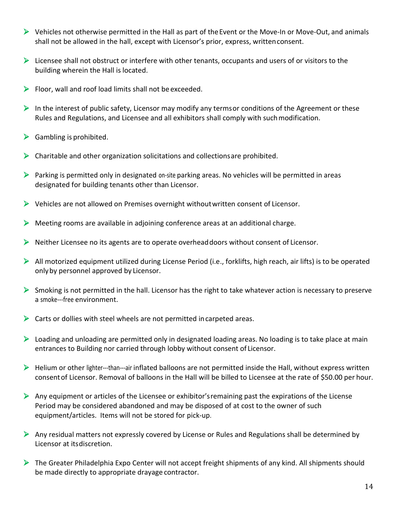- ➢ Vehicles not otherwise permitted in the Hall as part of theEvent or the Move-In or Move-Out, and animals shall not be allowed in the hall, except with Licensor's prior, express, writtenconsent.
- ➢ Licensee shall not obstruct or interfere with other tenants, occupants and users of or visitors to the building wherein the Hall is located.
- $\triangleright$  Floor, wall and roof load limits shall not be exceeded.
- $\triangleright$  In the interest of public safety, Licensor may modify any termsor conditions of the Agreement or these Rules and Regulations, and Licensee and all exhibitors shall comply with suchmodification.
- $\triangleright$  Gambling is prohibited.
- $\triangleright$  Charitable and other organization solicitations and collections are prohibited.
- $\triangleright$  Parking is permitted only in designated on-site parking areas. No vehicles will be permitted in areas designated for building tenants other than Licensor.
- $\triangleright$  Vehicles are not allowed on Premises overnight without written consent of Licensor.
- ➢ Meeting rooms are available in adjoining conference areas at an additional charge.
- ➢ Neither Licensee no its agents are to operate overheaddoors without consent of Licensor.
- $\triangleright$  All motorized equipment utilized during License Period (i.e., forklifts, high reach, air lifts) is to be operated onlyby personnel approved by Licensor.
- $\triangleright$  Smoking is not permitted in the hall. Licensor has the right to take whatever action is necessary to preserve a smoke---free environment.
- $\triangleright$  Carts or dollies with steel wheels are not permitted in carpeted areas.
- ➢ Loading and unloading are permitted only in designated loading areas. No loading is to take place at main entrances to Building nor carried through lobby without consent of Licensor.
- $\triangleright$  Helium or other lighter--than---air inflated balloons are not permitted inside the Hall, without express written consentof Licensor. Removal of balloons in the Hall will be billed to Licensee at the rate of \$50.00 per hour.
- $\triangleright$  Any equipment or articles of the Licensee or exhibitor's remaining past the expirations of the License Period may be considered abandoned and may be disposed of at cost to the owner of such equipment/articles. Items will not be stored for pick-up.
- ➢ Any residual matters not expressly covered by License or Rules and Regulations shall be determined by Licensor at itsdiscretion.
- ➢ The Greater Philadelphia Expo Center will not accept freight shipments of any kind. All shipments should be made directly to appropriate drayage contractor.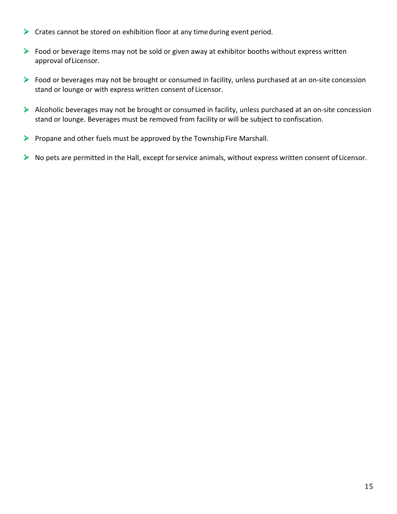- ➢ Crates cannot be stored on exhibition floor at any timeduring event period.
- ➢ Food or beverage items may not be sold or given away at exhibitor booths without express written approval ofLicensor.
- ➢ Food or beverages may not be brought or consumed in facility, unless purchased at an on-site concession stand or lounge or with express written consent of Licensor.
- ➢ Alcoholic beverages may not be brought or consumed in facility, unless purchased at an on-site concession stand or lounge. Beverages must be removed from facility or will be subject to confiscation.
- $\triangleright$  Propane and other fuels must be approved by the Township Fire Marshall.
- ➢ No pets are permitted in the Hall, except forservice animals, without express written consent of Licensor.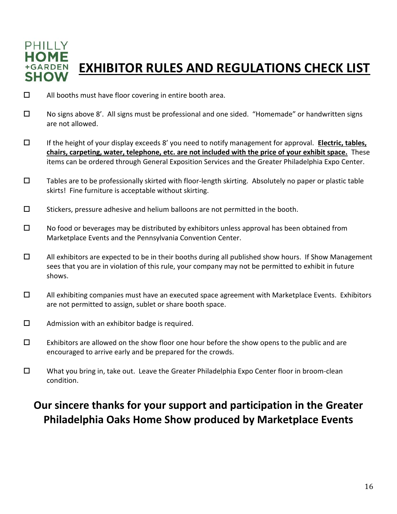

# **EXHIBITOR RULES AND REGULATIONS CHECK LIST**

- $\Box$  All booths must have floor covering in entire booth area.
- No signs above 8'. All signs must be professional and one sided. "Homemade" or handwritten signs are not allowed.
- If the height of your display exceeds 8' you need to notify management for approval. **Electric, tables, chairs, carpeting, water, telephone, etc. are not included with the price of your exhibit space.** These items can be ordered through General Exposition Services and the Greater Philadelphia Expo Center.
- $\Box$  Tables are to be professionally skirted with floor-length skirting. Absolutely no paper or plastic table skirts! Fine furniture is acceptable without skirting.
- $\square$  Stickers, pressure adhesive and helium balloons are not permitted in the booth.
- $\Box$  No food or beverages may be distributed by exhibitors unless approval has been obtained from Marketplace Events and the Pennsylvania Convention Center.
- $\Box$  All exhibitors are expected to be in their booths during all published show hours. If Show Management sees that you are in violation of this rule, your company may not be permitted to exhibit in future shows.
- $\Box$  All exhibiting companies must have an executed space agreement with Marketplace Events. Exhibitors are not permitted to assign, sublet or share booth space.
- $\square$  Admission with an exhibitor badge is required.
- $\Box$  Exhibitors are allowed on the show floor one hour before the show opens to the public and are encouraged to arrive early and be prepared for the crowds.
- $\square$  What you bring in, take out. Leave the Greater Philadelphia Expo Center floor in broom-clean condition.

### **Our sincere thanks for your support and participation in the Greater Philadelphia Oaks Home Show produced by Marketplace Events**